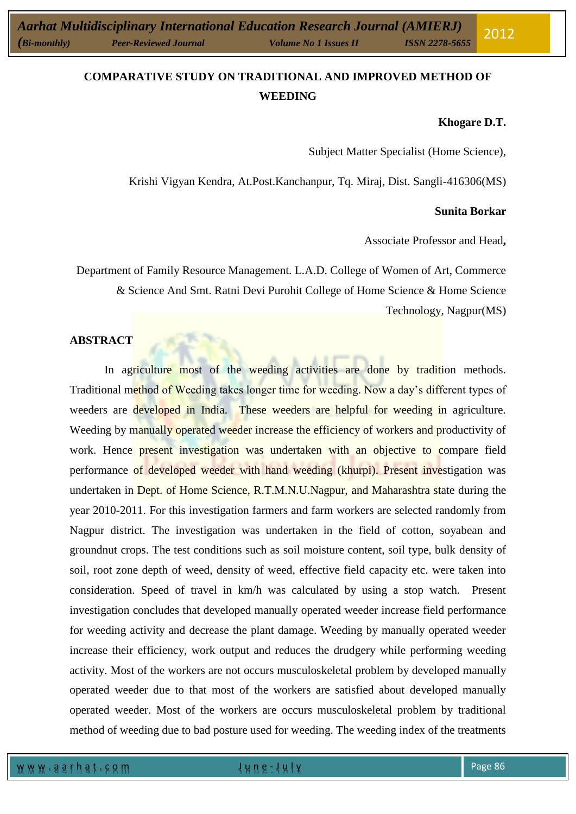# **COMPARATIVE STUDY ON TRADITIONAL AND IMPROVED METHOD OF WEEDING**

#### **Khogare D.T.**

Subject Matter Specialist (Home Science),

Krishi Vigyan Kendra, At.Post.Kanchanpur, Tq. Miraj, Dist. Sangli-416306(MS)

#### **Sunita Borkar**

Associate Professor and Head**,**

Department of Family Resource Management. L.A.D. College of Women of Art, Commerce & Science And Smt. Ratni Devi Purohit College of Home Science & Home Science Technology, Nagpur(MS)

# **ABSTRACT**

In agriculture most of the weeding activities are done by tradition methods. Traditional method of Weeding takes longer time for weeding. Now a day's different types of weeders are developed in India. These weeders are helpful for weeding in agriculture. Weeding by manually operated weeder increase the efficiency of workers and productivity of work. Hence present investigation was undertaken with an objective to compare field performance of developed weeder with hand weeding (khurpi). Present investigation was undertaken in Dept. of Home Science, R.T.M.N.U.Nagpur, and Maharashtra state during the year 2010-2011. For this investigation farmers and farm workers are selected randomly from Nagpur district. The investigation was undertaken in the field of cotton, soyabean and groundnut crops. The test conditions such as soil moisture content, soil type, bulk density of soil, root zone depth of weed, density of weed, effective field capacity etc. were taken into consideration. Speed of travel in km/h was calculated by using a stop watch. Present investigation concludes that developed manually operated weeder increase field performance for weeding activity and decrease the plant damage. Weeding by manually operated weeder increase their efficiency, work output and reduces the drudgery while performing weeding activity. Most of the workers are not occurs musculoskeletal problem by developed manually operated weeder due to that most of the workers are satisfied about developed manually operated weeder. Most of the workers are occurs musculoskeletal problem by traditional method of weeding due to bad posture used for weeding. The weeding index of the treatments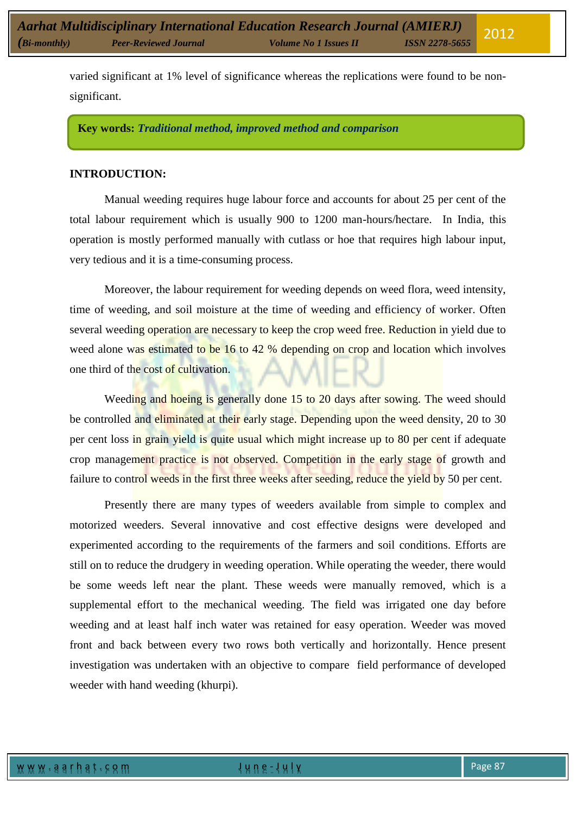varied significant at 1% level of significance whereas the replications were found to be nonsignificant.

**Key words:** *Traditional method, improved method and comparison*

### **INTRODUCTION:**

Manual weeding requires huge labour force and accounts for about 25 per cent of the total labour requirement which is usually 900 to 1200 man-hours/hectare. In India, this operation is mostly performed manually with cutlass or hoe that requires high labour input, very tedious and it is a time-consuming process.

Moreover, the labour requirement for weeding depends on weed flora, weed intensity, time of weeding, and soil moisture at the time of weeding and efficiency of worker. Often several weeding operation are necessary to keep the crop weed free. Reduction in yield due to weed alone was estimated to be 16 to 42 % depending on crop and location which involves one third of the cost of cultivation.

Weeding and hoeing is generally done 15 to 20 days after sowing. The weed should be controlled and eliminated at their early stage. Depending upon the weed density, 20 to 30 per cent loss in grain yield is quite usual which might increase up to 80 per cent if adequate crop management practice is not observed. Competition in the early stage of growth and failure to control weeds in the first three weeks after seeding, reduce the yield by 50 per cent.

Presently there are many types of weeders available from simple to complex and motorized weeders. Several innovative and cost effective designs were developed and experimented according to the requirements of the farmers and soil conditions. Efforts are still on to reduce the drudgery in weeding operation. While operating the weeder, there would be some weeds left near the plant. These weeds were manually removed, which is a supplemental effort to the mechanical weeding. The field was irrigated one day before weeding and at least half inch water was retained for easy operation. Weeder was moved front and back between every two rows both vertically and horizontally. Hence present investigation was undertaken with an objective to compare field performance of developed weeder with hand weeding (khurpi).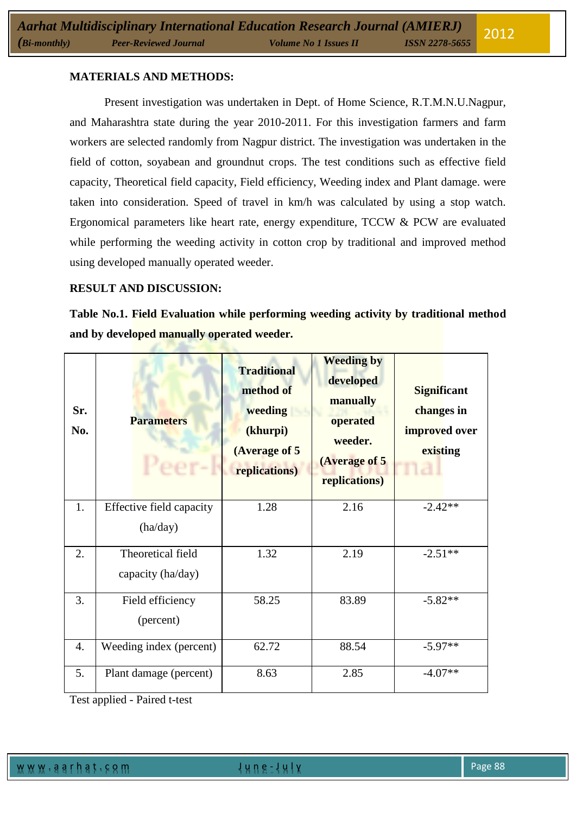# **MATERIALS AND METHODS:**

Present investigation was undertaken in Dept. of Home Science, R.T.M.N.U.Nagpur, and Maharashtra state during the year 2010-2011. For this investigation farmers and farm workers are selected randomly from Nagpur district. The investigation was undertaken in the field of cotton, soyabean and groundnut crops. The test conditions such as effective field capacity, Theoretical field capacity, Field efficiency, Weeding index and Plant damage. were taken into consideration. Speed of travel in km/h was calculated by using a stop watch. Ergonomical parameters like heart rate, energy expenditure, TCCW & PCW are evaluated while performing the weeding activity in cotton crop by traditional and improved method using developed manually operated weeder.

### **RESULT AND DISCUSSION:**

**Table No.1. Field Evaluation while performing weeding activity by traditional method and by developed manually operated weeder.**

| Sr.<br>No.       | <b>Parameters</b>        | <b>Traditional</b><br>method of<br>weeding<br>(khurpi)<br>(Average of 5<br>replications) | <b>Weeding by</b><br>developed<br>manually<br>operated<br>weeder.<br>(Average of 5<br>replications) | <b>Significant</b><br>changes in<br>improved over<br>existing<br>па |
|------------------|--------------------------|------------------------------------------------------------------------------------------|-----------------------------------------------------------------------------------------------------|---------------------------------------------------------------------|
| 1.               | Effective field capacity | 1.28                                                                                     | 2.16                                                                                                | $-2.42**$                                                           |
|                  | (ha/day)                 |                                                                                          |                                                                                                     |                                                                     |
| $\overline{2}$ . | Theoretical field        | 1.32                                                                                     | 2.19                                                                                                | $-2.51**$                                                           |
|                  | capacity (ha/day)        |                                                                                          |                                                                                                     |                                                                     |
| 3.               | Field efficiency         | 58.25                                                                                    | 83.89                                                                                               | $-5.82**$                                                           |
|                  | (percent)                |                                                                                          |                                                                                                     |                                                                     |
| 4.               | Weeding index (percent)  | 62.72                                                                                    | 88.54                                                                                               | $-5.97**$                                                           |
| 5.               | Plant damage (percent)   | 8.63                                                                                     | 2.85                                                                                                | $-4.07**$                                                           |

Test applied - Paired t-test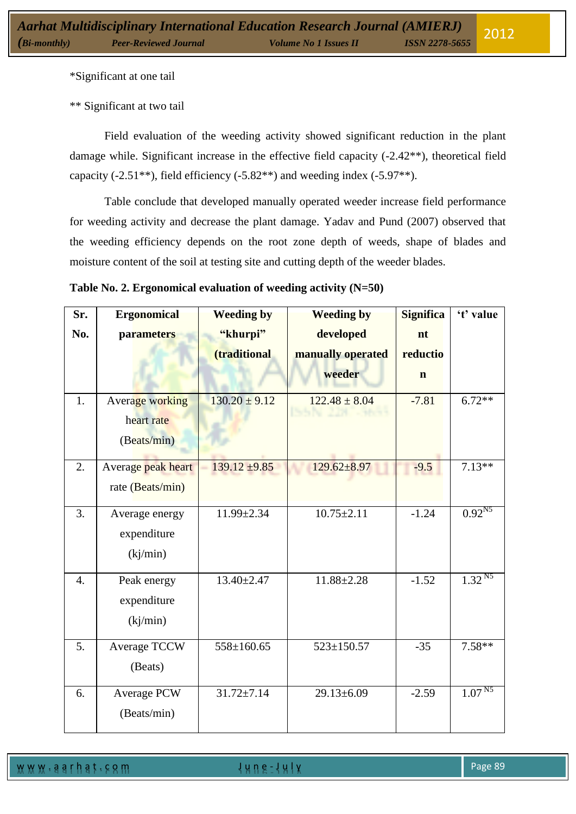\*Significant at one tail

\*\* Significant at two tail

Field evaluation of the weeding activity showed significant reduction in the plant damage while. Significant increase in the effective field capacity (-2.42\*\*), theoretical field capacity  $(-2.51**)$ , field efficiency  $(-5.82**)$  and weeding index  $(-5.97**)$ .

Table conclude that developed manually operated weeder increase field performance for weeding activity and decrease the plant damage. Yadav and Pund (2007) observed that the weeding efficiency depends on the root zone depth of weeds, shape of blades and moisture content of the soil at testing site and cutting depth of the weeder blades.

| Table No. 2. Ergonomical evaluation of weeding activity (N=50) |  |  |
|----------------------------------------------------------------|--|--|
|                                                                |  |  |

| Sr.              | <b>Ergonomical</b> | <b>Weeding by</b> | <b>Weeding by</b> | <b>Significa</b> | 't' value   |
|------------------|--------------------|-------------------|-------------------|------------------|-------------|
| No.              | parameters         | "khurpi"          | developed         | nt               |             |
|                  |                    | (traditional      | manually operated | reductio         |             |
|                  |                    |                   | weeder            | $\mathbf n$      |             |
| 1.               | Average working    | $130.20 \pm 9.12$ | $122.48 \pm 8.04$ | $-7.81$          | $6.72**$    |
|                  | heart rate         |                   | ISSN 228 - Mont   |                  |             |
|                  | (Beats/min)        |                   |                   |                  |             |
| 2.               | Average peak heart | $139.12 \pm 9.85$ | $129.62 \pm 8.97$ | $-9.5$           | $7.13**$    |
|                  | rate (Beats/min)   |                   |                   |                  |             |
| 3.               | Average energy     | 11.99±2.34        | $10.75 \pm 2.11$  | $-1.24$          | $0.92^{N5}$ |
|                  | expenditure        |                   |                   |                  |             |
|                  | (kj/min)           |                   |                   |                  |             |
| $\overline{4}$ . | Peak energy        | $13.40 \pm 2.47$  | $11.88 \pm 2.28$  | $-1.52$          | $1.32^{N5}$ |
|                  | expenditure        |                   |                   |                  |             |
|                  | (kj/min)           |                   |                   |                  |             |
| 5.               | Average TCCW       | $558 \pm 160.65$  | $523 \pm 150.57$  | $-35$            | $7.58**$    |
|                  | (Beats)            |                   |                   |                  |             |
| 6.               | Average PCW        | $31.72 \pm 7.14$  | $29.13 \pm 6.09$  | $-2.59$          | $1.07^{N5}$ |
|                  | (Beats/min)        |                   |                   |                  |             |

w w w . a a r h a t . c o m J u n e - J u l y Page 89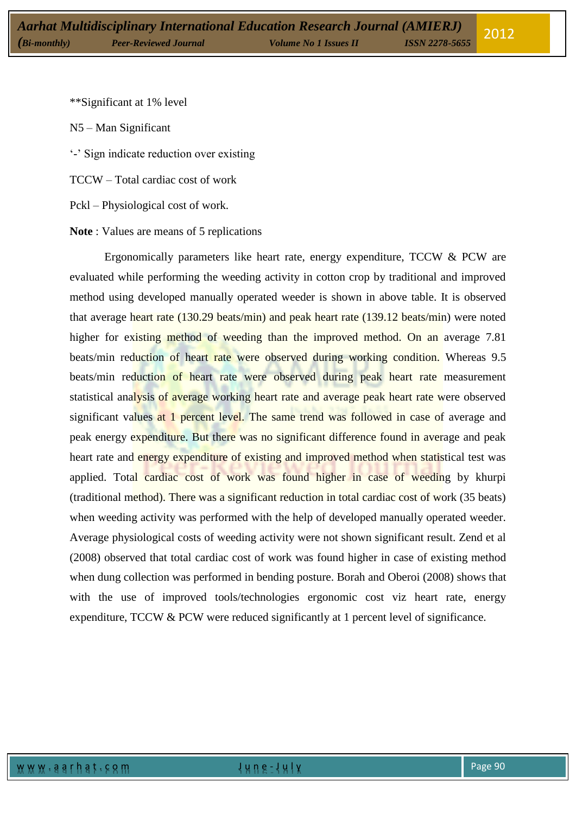\*\*Significant at 1% level

N5 – Man Significant

'-' Sign indicate reduction over existing

TCCW – Total cardiac cost of work

Pckl – Physiological cost of work.

**Note** : Values are means of 5 replications

Ergonomically parameters like heart rate, energy expenditure, TCCW & PCW are evaluated while performing the weeding activity in cotton crop by traditional and improved method using developed manually operated weeder is shown in above table. It is observed that average heart rate (130.29 beats/min) and peak heart rate (139.12 beats/min) were noted higher for existing method of weeding than the improved method. On an average 7.81 beats/min reduction of heart rate were observed during working condition. Whereas 9.5 beats/min reduction of heart rate were observed during peak heart rate measurement statistical analysis of average working heart rate and average peak heart rate were observed significant values at 1 percent level. The same trend was followed in case of average and peak energy expenditure. But there was no significant difference found in average and peak heart rate and energy expenditure of existing and improved method when statistical test was applied. Total cardiac cost of work was found higher in case of weeding by khurpi (traditional method). There was a significant reduction in total cardiac cost of work (35 beats) when weeding activity was performed with the help of developed manually operated weeder. Average physiological costs of weeding activity were not shown significant result. Zend et al (2008) observed that total cardiac cost of work was found higher in case of existing method when dung collection was performed in bending posture. Borah and Oberoi (2008) shows that with the use of improved tools/technologies ergonomic cost viz heart rate, energy expenditure, TCCW & PCW were reduced significantly at 1 percent level of significance.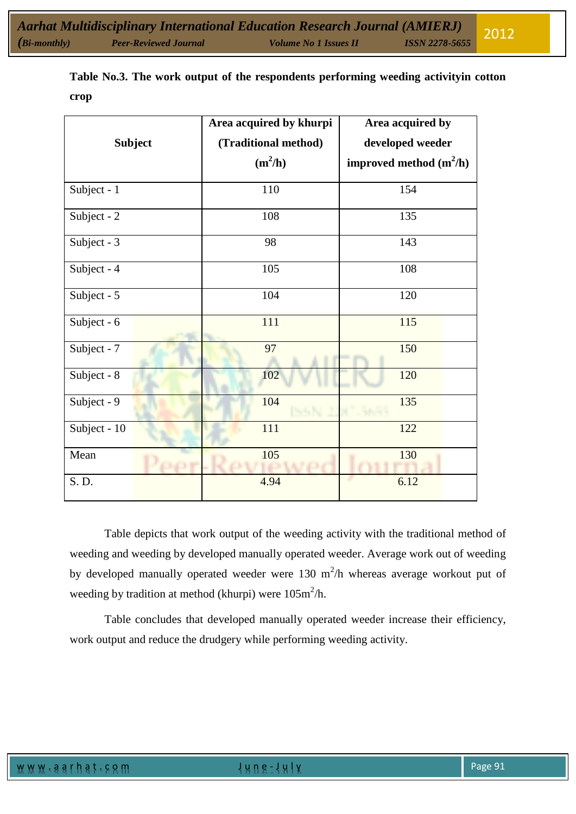|              |                | Area acquired by khurpi | Area acquired by          |  |  |  |
|--------------|----------------|-------------------------|---------------------------|--|--|--|
|              | <b>Subject</b> | (Traditional method)    | developed weeder          |  |  |  |
|              |                | $(m^2/h)$               | improved method $(m^2/h)$ |  |  |  |
| Subject - 1  |                | 110                     | 154                       |  |  |  |
| Subject - 2  |                | 108                     | 135                       |  |  |  |
| Subject - 3  |                | 98                      | 143                       |  |  |  |
| Subject - 4  |                | 105                     | 108                       |  |  |  |
| Subject - 5  |                | 104                     | 120                       |  |  |  |
| Subject - 6  |                | 111                     | 115                       |  |  |  |
| Subject - 7  |                | 97                      | 150                       |  |  |  |
| Subject - 8  |                | 102                     | 120                       |  |  |  |
| Subject - 9  |                | 104                     | 135                       |  |  |  |
| Subject - 10 |                | 111                     | 122                       |  |  |  |
| Mean         |                | 105                     | 130                       |  |  |  |
| S. D.        |                | 4.94                    | 6.12                      |  |  |  |

**Table No.3. The work output of the respondents performing weeding activityin cotton crop**

Table depicts that work output of the weeding activity with the traditional method of weeding and weeding by developed manually operated weeder. Average work out of weeding by developed manually operated weeder were 130  $m^2/h$  whereas average workout put of weeding by tradition at method (khurpi) were  $105m^2/h$ .

Table concludes that developed manually operated weeder increase their efficiency, work output and reduce the drudgery while performing weeding activity.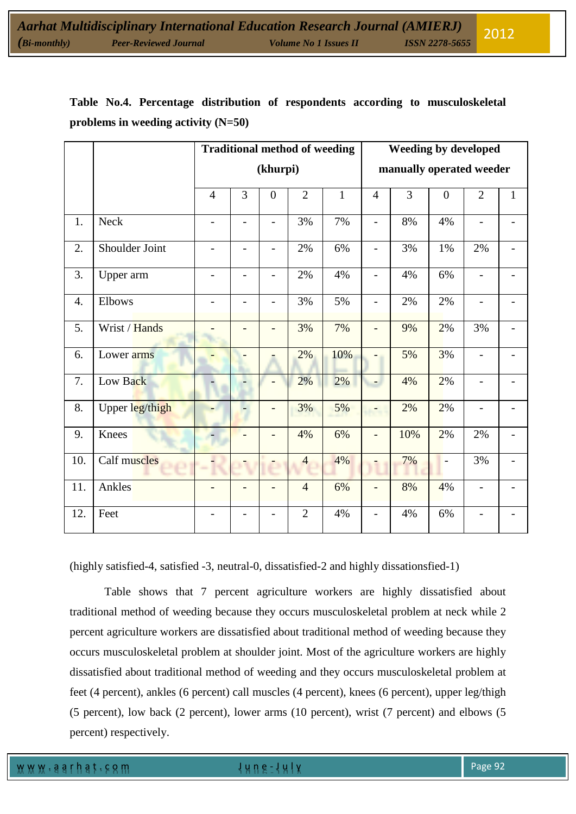|  |                                       |  |  | Table No.4. Percentage distribution of respondents according to musculoskeletal |
|--|---------------------------------------|--|--|---------------------------------------------------------------------------------|
|  | problems in weeding activity $(N=50)$ |  |  |                                                                                 |

|                  |                 | <b>Traditional method of weeding</b> |                          |                          |                | <b>Weeding by developed</b> |                |                |                |                          |              |
|------------------|-----------------|--------------------------------------|--------------------------|--------------------------|----------------|-----------------------------|----------------|----------------|----------------|--------------------------|--------------|
|                  |                 | (khurpi)                             |                          |                          |                | manually operated weeder    |                |                |                |                          |              |
|                  |                 | $\overline{4}$                       | 3                        | $\overline{0}$           | $\overline{2}$ | $\mathbf{1}$                | $\overline{4}$ | $\overline{3}$ | $\overline{0}$ | $\overline{2}$           | $\mathbf{1}$ |
| 1.               | <b>Neck</b>     |                                      | $\overline{\phantom{0}}$ | $\overline{\phantom{0}}$ | 3%             | 7%                          | $\overline{a}$ | 8%             | 4%             | $\overline{a}$           |              |
| 2.               | Shoulder Joint  | $\overline{a}$                       | $\overline{\phantom{0}}$ | $\overline{\phantom{0}}$ | 2%             | 6%                          | $\overline{a}$ | 3%             | 1%             | 2%                       |              |
| 3.               | Upper arm       | $\overline{\phantom{0}}$             | $\overline{a}$           | $\overline{a}$           | 2%             | 4%                          | $\overline{a}$ | 4%             | 6%             | $\overline{a}$           |              |
| $\overline{4}$ . | Elbows          | $\overline{a}$                       | $\overline{a}$           | $\overline{a}$           | 3%             | 5%                          | $\overline{a}$ | 2%             | 2%             | $\overline{a}$           |              |
| 5.               | Wrist / Hands   |                                      |                          |                          | 3%             | 7%                          | $\overline{a}$ | 9%             | 2%             | 3%                       |              |
| 6.               | Lower arms      |                                      |                          |                          | 2%             | 10%                         |                | 5%             | 3%             | $\overline{\phantom{a}}$ |              |
| 7.               | Low Back        |                                      |                          |                          | 2%             | 2%                          | $\overline{a}$ | 4%             | 2%             | $\overline{\phantom{a}}$ |              |
| 8.               | Upper leg/thigh | ۳                                    |                          | $\overline{\phantom{a}}$ | 3%             | 5%                          |                | 2%             | 2%             | $\overline{\phantom{0}}$ |              |
| 9.               | Knees           |                                      |                          |                          | 4%             | 6%                          | $\overline{a}$ | 10%            | 2%             | $2\%$                    |              |
| 10.              | Calf muscles    |                                      |                          |                          | $\overline{4}$ | 4%                          |                | 7%             | $\overline{a}$ | 3%                       |              |
| 11.              | Ankles          |                                      |                          |                          | $\overline{4}$ | 6%                          |                | 8%             | 4%             | $\overline{\phantom{0}}$ |              |
| 12.              | Feet            |                                      |                          |                          | $\overline{2}$ | 4%                          |                | 4%             | 6%             |                          |              |

(highly satisfied-4, satisfied -3, neutral-0, dissatisfied-2 and highly dissationsfied-1)

Table shows that 7 percent agriculture workers are highly dissatisfied about traditional method of weeding because they occurs musculoskeletal problem at neck while 2 percent agriculture workers are dissatisfied about traditional method of weeding because they occurs musculoskeletal problem at shoulder joint. Most of the agriculture workers are highly dissatisfied about traditional method of weeding and they occurs musculoskeletal problem at feet (4 percent), ankles (6 percent) call muscles (4 percent), knees (6 percent), upper leg/thigh (5 percent), low back (2 percent), lower arms (10 percent), wrist (7 percent) and elbows (5 percent) respectively.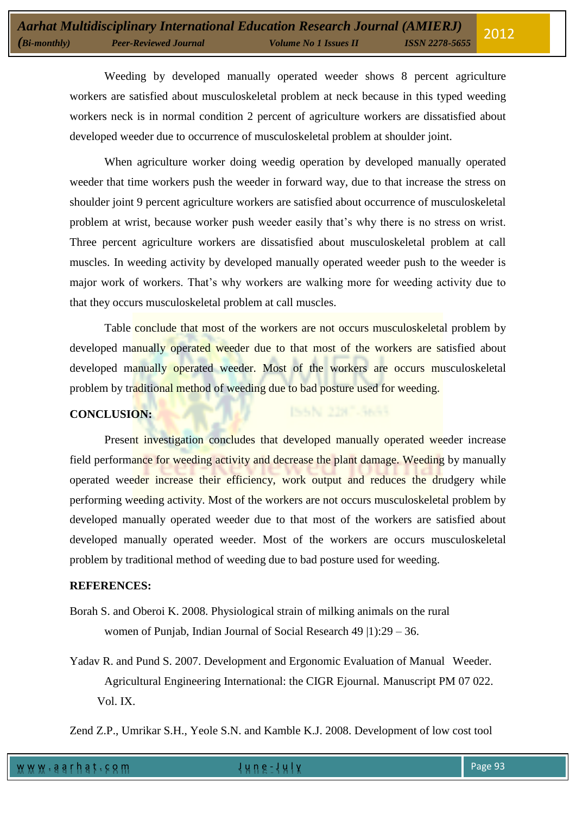Weeding by developed manually operated weeder shows 8 percent agriculture workers are satisfied about musculoskeletal problem at neck because in this typed weeding workers neck is in normal condition 2 percent of agriculture workers are dissatisfied about developed weeder due to occurrence of musculoskeletal problem at shoulder joint.

When agriculture worker doing weedig operation by developed manually operated weeder that time workers push the weeder in forward way, due to that increase the stress on shoulder joint 9 percent agriculture workers are satisfied about occurrence of musculoskeletal problem at wrist, because worker push weeder easily that's why there is no stress on wrist. Three percent agriculture workers are dissatisfied about musculoskeletal problem at call muscles. In weeding activity by developed manually operated weeder push to the weeder is major work of workers. That's why workers are walking more for weeding activity due to that they occurs musculoskeletal problem at call muscles.

Table conclude that most of the workers are not occurs musculoskeletal problem by developed manually operated weeder due to that most of the workers are satisfied about developed manually operated weeder. Most of the workers are occurs musculoskeletal problem by traditional method of weeding due to bad posture used for weeding.

ISSN 2387-3655

# **CONCLUSION:**

Present investigation concludes that developed manually operated weeder increase field performance for weeding activity and decrease the plant damage. Weeding by manually operated weeder increase their efficiency, work output and reduces the drudgery while performing weeding activity. Most of the workers are not occurs musculoskeletal problem by developed manually operated weeder due to that most of the workers are satisfied about developed manually operated weeder. Most of the workers are occurs musculoskeletal problem by traditional method of weeding due to bad posture used for weeding.

#### **REFERENCES:**

- Borah S. and Oberoi K. 2008. Physiological strain of milking animals on the rural women of Punjab, Indian Journal of Social Research 49 |1):29 – 36.
- Yadav R. and Pund S. 2007. Development and Ergonomic Evaluation of Manual Weeder. Agricultural Engineering International: the CIGR Ejournal. Manuscript PM 07 022. Vol. IX.

Zend Z.P., Umrikar S.H., Yeole S.N. and Kamble K.J. 2008. Development of low cost tool